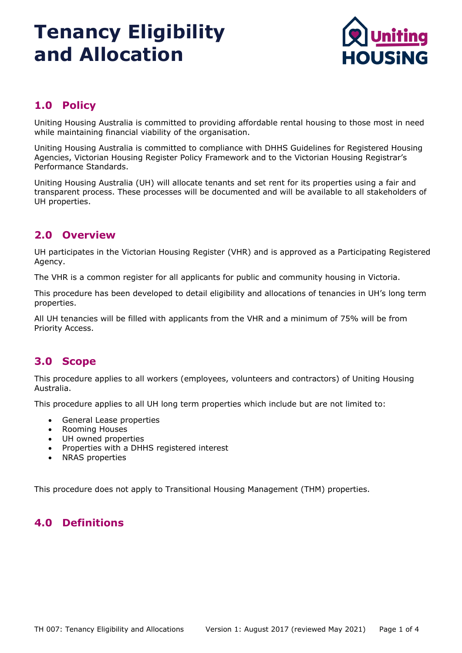

## **1.0 Policy**

Uniting Housing Australia is committed to providing affordable rental housing to those most in need while maintaining financial viability of the organisation.

Uniting Housing Australia is committed to compliance with DHHS Guidelines for Registered Housing Agencies, Victorian Housing Register Policy Framework and to the Victorian Housing Registrar's Performance Standards.

Uniting Housing Australia (UH) will allocate tenants and set rent for its properties using a fair and transparent process. These processes will be documented and will be available to all stakeholders of UH properties.

### **2.0 Overview**

UH participates in the Victorian Housing Register (VHR) and is approved as a Participating Registered Agency.

The VHR is a common register for all applicants for public and community housing in Victoria.

This procedure has been developed to detail eligibility and allocations of tenancies in UH's long term properties.

All UH tenancies will be filled with applicants from the VHR and a minimum of 75% will be from Priority Access.

### **3.0 Scope**

This procedure applies to all workers (employees, volunteers and contractors) of Uniting Housing Australia.

This procedure applies to all UH long term properties which include but are not limited to:

- General Lease properties
- Rooming Houses
- UH owned properties
- Properties with a DHHS registered interest
- NRAS properties

This procedure does not apply to Transitional Housing Management (THM) properties.

### **4.0 Definitions**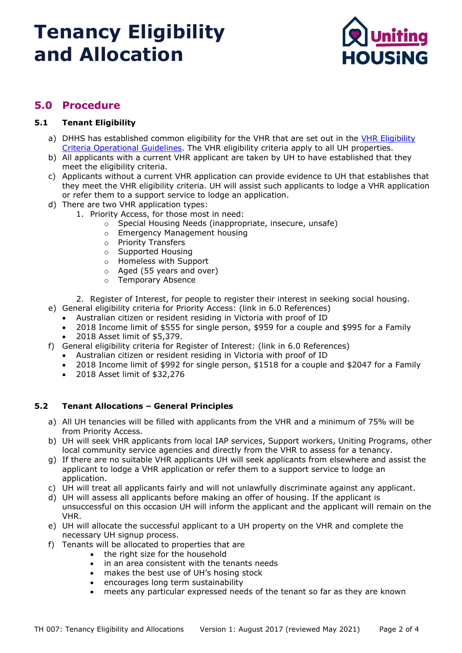

### **5.0 Procedure**

### **5.1 Tenant Eligibility**

- a) DHHS has established common eligibility for the VHR that are set out in the [VHR Eligibility](https://fac.dhhs.vic.gov.au/eligibility-criteria) [Criteria Operational Guidelines.](https://fac.dhhs.vic.gov.au/eligibility-criteria) The VHR eligibility criteria apply to all UH properties.
- b) All applicants with a current VHR applicant are taken by UH to have established that they meet the eligibility criteria.
- c) Applicants without a current VHR application can provide evidence to UH that establishes that they meet the VHR eligibility criteria. UH will assist such applicants to lodge a VHR application or refer them to a support service to lodge an application.
- d) There are two VHR application types:
	- 1. Priority Access, for those most in need:
		- o Special Housing Needs (inappropriate, insecure, unsafe)
		- o Emergency Management housing
		- o Priority Transfers
		- o Supported Housing
		- o Homeless with Support
		- o Aged (55 years and over)
		- o Temporary Absence

2. Register of Interest, for people to register their interest in seeking social housing.

- e) General eligibility criteria for Priority Access: (link in 6.0 References)
	- Australian citizen or resident residing in Victoria with proof of ID
	- 2018 Income limit of \$555 for single person, \$959 for a couple and \$995 for a Family<br>• 2018 Asset limit of \$5.379.
	- 2018 Asset limit of \$5,379.
- f) General eligibility criteria for Register of Interest: (link in 6.0 References)
	- Australian citizen or resident residing in Victoria with proof of ID
	- 2018 Income limit of \$992 for single person, \$1518 for a couple and \$2047 for a Family
	- 2018 Asset limit of \$32,276

### **5.2 Tenant Allocations – General Principles**

- a) All UH tenancies will be filled with applicants from the VHR and a minimum of 75% will be from Priority Access.
- b) UH will seek VHR applicants from local IAP services, Support workers, Uniting Programs, other local community service agencies and directly from the VHR to assess for a tenancy.
- g) If there are no suitable VHR applicants UH will seek applicants from elsewhere and assist the applicant to lodge a VHR application or refer them to a support service to lodge an application.
- c) UH will treat all applicants fairly and will not unlawfully discriminate against any applicant.
- d) UH will assess all applicants before making an offer of housing. If the applicant is unsuccessful on this occasion UH will inform the applicant and the applicant will remain on the VHR.
- e) UH will allocate the successful applicant to a UH property on the VHR and complete the necessary UH signup process.
- f) Tenants will be allocated to properties that are
	- the right size for the household
	- in an area consistent with the tenants needs
	- makes the best use of UH's hosing stock
	- encourages long term sustainability
	- meets any particular expressed needs of the tenant so far as they are known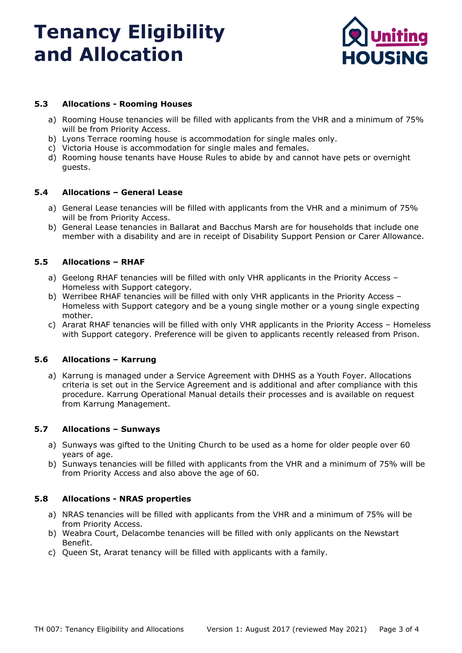

### **5.3 Allocations - Rooming Houses**

- a) Rooming House tenancies will be filled with applicants from the VHR and a minimum of 75% will be from Priority Access.
- b) Lyons Terrace rooming house is accommodation for single males only.
- c) Victoria House is accommodation for single males and females.
- d) Rooming house tenants have House Rules to abide by and cannot have pets or overnight guests.

#### **5.4 Allocations – General Lease**

- a) General Lease tenancies will be filled with applicants from the VHR and a minimum of 75% will be from Priority Access.
- b) General Lease tenancies in Ballarat and Bacchus Marsh are for households that include one member with a disability and are in receipt of Disability Support Pension or Carer Allowance.

#### **5.5 Allocations – RHAF**

- a) Geelong RHAF tenancies will be filled with only VHR applicants in the Priority Access Homeless with Support category.
- b) Werribee RHAF tenancies will be filled with only VHR applicants in the Priority Access Homeless with Support category and be a young single mother or a young single expecting mother.
- c) Ararat RHAF tenancies will be filled with only VHR applicants in the Priority Access Homeless with Support category. Preference will be given to applicants recently released from Prison.

#### **5.6 Allocations – Karrung**

a) Karrung is managed under a Service Agreement with DHHS as a Youth Foyer. Allocations criteria is set out in the Service Agreement and is additional and after compliance with this procedure. Karrung Operational Manual details their processes and is available on request from Karrung Management.

### **5.7 Allocations – Sunways**

- a) Sunways was gifted to the Uniting Church to be used as a home for older people over 60 years of age.
- b) Sunways tenancies will be filled with applicants from the VHR and a minimum of 75% will be from Priority Access and also above the age of 60.

#### **5.8 Allocations - NRAS properties**

- a) NRAS tenancies will be filled with applicants from the VHR and a minimum of 75% will be from Priority Access.
- b) Weabra Court, Delacombe tenancies will be filled with only applicants on the Newstart Benefit.
- c) Queen St, Ararat tenancy will be filled with applicants with a family.